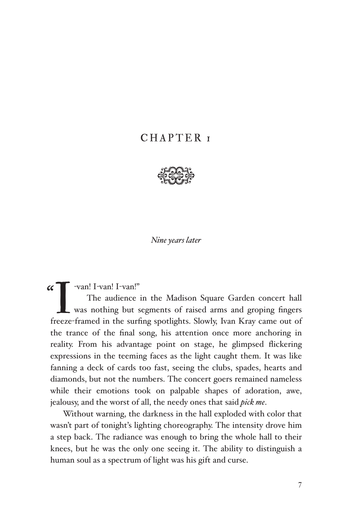## CHAPTER<sub>I</sub>



*Nine years later*

 $\sqrt{ }$  -van! I-van! I-van!"

 $\alpha$ T -van! I-van!"<br>The audience in the Madison Square Garden concert hall<br>was nothing but segments of raised arms and groping fingers<br>freeze-framed in the surfing spotlights. Slowly, Ivan Kray came out of The audience in the Madison Square Garden concert hall was nothing but segments of raised arms and groping fingers the trance of the final song, his attention once more anchoring in reality. From his advantage point on stage, he glimpsed flickering expressions in the teeming faces as the light caught them. It was like fanning a deck of cards too fast, seeing the clubs, spades, hearts and diamonds, but not the numbers. The concert goers remained nameless while their emotions took on palpable shapes of adoration, awe, jealousy, and the worst of all, the needy ones that said *pick me*.

Without warning, the darkness in the hall exploded with color that wasn't part of tonight's lighting choreography. The intensity drove him a step back. The radiance was enough to bring the whole hall to their knees, but he was the only one seeing it. The ability to distinguish a human soul as a spectrum of light was his gift and curse.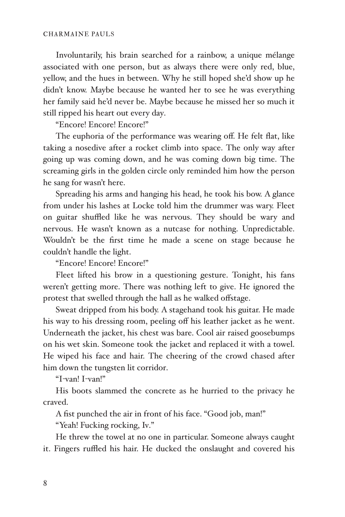Involuntarily, his brain searched for a rainbow, a unique mélange associated with one person, but as always there were only red, blue, yellow, and the hues in between. Why he still hoped she'd show up he didn't know. Maybe because he wanted her to see he was everything her family said he'd never be. Maybe because he missed her so much it still ripped his heart out every day.

"Encore! Encore! Encore!"

The euphoria of the performance was wearing off. He felt flat, like taking a nosedive after a rocket climb into space. The only way after going up was coming down, and he was coming down big time. The screaming girls in the golden circle only reminded him how the person he sang for wasn't here.

Spreading his arms and hanging his head, he took his bow. A glance from under his lashes at Locke told him the drummer was wary. Fleet on guitar shuffled like he was nervous. They should be wary and nervous. He wasn't known as a nutcase for nothing. Unpredictable. Wouldn't be the first time he made a scene on stage because he couldn't handle the light.

"Encore! Encore! Encore!"

Fleet lifted his brow in a questioning gesture. Tonight, his fans weren't getting more. There was nothing left to give. He ignored the protest that swelled through the hall as he walked offstage.

Sweat dripped from his body. A stagehand took his guitar. He made his way to his dressing room, peeling off his leather jacket as he went. Underneath the jacket, his chest was bare. Cool air raised goosebumps on his wet skin. Someone took the jacket and replaced it with a towel. He wiped his face and hair. The cheering of the crowd chased after him down the tungsten lit corridor.

"I-van! I-van!"

His boots slammed the concrete as he hurried to the privacy he craved.

A fist punched the air in front of his face. "Good job, man!"

"Yeah! Fucking rocking, Iv."

He threw the towel at no one in particular. Someone always caught it. Fingers ruffled his hair. He ducked the onslaught and covered his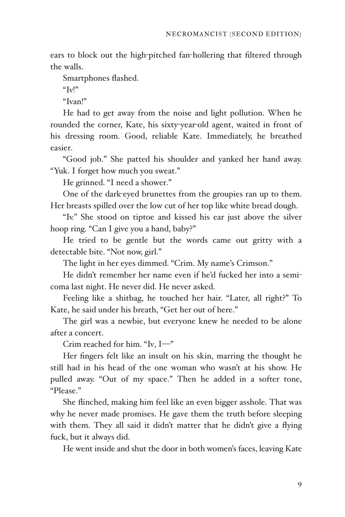ears to block out the high-pitched fan-hollering that filtered through the walls.

Smartphones flashed.

" $\text{Iv}$ !"

"Ivan!"

He had to get away from the noise and light pollution. When he rounded the corner, Kate, his sixty-year-old agent, waited in front of his dressing room. Good, reliable Kate. Immediately, he breathed easier.

"Good job." She patted his shoulder and yanked her hand away. "Yuk. I forget how much you sweat."

He grinned. "I need a shower."

One of the dark-eyed brunettes from the groupies ran up to them. Her breasts spilled over the low cut of her top like white bread dough.

"Iv." She stood on tiptoe and kissed his ear just above the silver hoop ring. "Can I give you a hand, baby?"

He tried to be gentle but the words came out gritty with a detectable bite. "Not now, girl."

The light in her eyes dimmed. "Crim. My name's Crimson."

He didn't remember her name even if he'd fucked her into a semicoma last night. He never did. He never asked.

Feeling like a shitbag, he touched her hair. "Later, all right?" To Kate, he said under his breath, "Get her out of here."

The girl was a newbie, but everyone knew he needed to be alone after a concert.

Crim reached for him. "Iv,  $I$ -"

Her fingers felt like an insult on his skin, marring the thought he still had in his head of the one woman who wasn't at his show. He pulled away. "Out of my space." Then he added in a softer tone, "Please."

She flinched, making him feel like an even bigger asshole. That was why he never made promises. He gave them the truth before sleeping with them. They all said it didn't matter that he didn't give a flying fuck, but it always did.

He went inside and shut the door in both women's faces, leaving Kate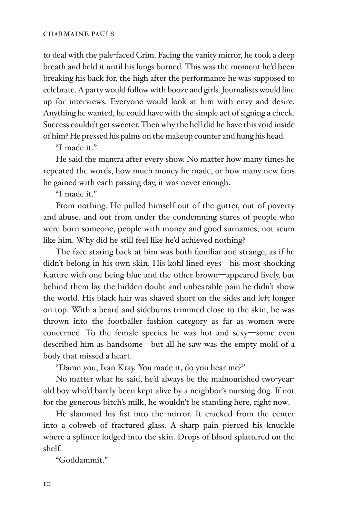to deal with the pale-faced Crim. Facing the vanity mirror, he took a deep breath and held it until his lungs burned. This was the moment he'd been breaking his back for, the high after the performance he was supposed to celebrate. A party would follow with booze and girls. Journalists would line up for interviews. Everyone would look at him with envy and desire. Anything he wanted, he could have with the simple act of signing a check. Success couldn't get sweeter. Then why the hell did he have this void inside of him? He pressed his palms on the makeup counter and hung his head.

"I made it."

He said the mantra after every show. No matter how many times he repeated the words, how much money he made, or how many new fans he gained with each passing day, it was never enough.

"I made it."

From nothing. He pulled himself out of the gutter, out of poverty and abuse, and out from under the condemning stares of people who were born someone, people with money and good surnames, not scum like him. Why did he still feel like he'd achieved nothing?

The face staring back at him was both familiar and strange, as if he didn't belong in his own skin. His kohl-lined eyes-his most shocking feature with one being blue and the other brown-appeared lively, but behind them lay the hidden doubt and unbearable pain he didn't show the world. His black hair was shaved short on the sides and left longer on top. With a beard and sideburns trimmed close to the skin, he was thrown into the footballer fashion category as far as women were concerned. To the female species he was hot and sexy-some even described him as handsome-but all he saw was the empty mold of a body that missed a heart.

"Damn you, Ivan Kray. You made it, do you hear me?"

No matter what he said, he'd always be the malnourished two-yearold boy who'd barely been kept alive by a neighbor's nursing dog. If not for the generous bitch's milk, he wouldn't be standing here, right now.

He slammed his fist into the mirror. It cracked from the center into a cobweb of fractured glass. A sharp pain pierced his knuckle where a splinter lodged into the skin. Drops of blood splattered on the shelf.

"Goddammit."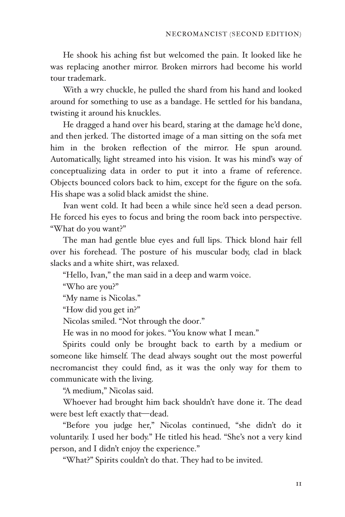He shook his aching fist but welcomed the pain. It looked like he was replacing another mirror. Broken mirrors had become his world tour trademark.

With a wry chuckle, he pulled the shard from his hand and looked around for something to use as a bandage. He settled for his bandana, twisting it around his knuckles.

He dragged a hand over his beard, staring at the damage he'd done, and then jerked. The distorted image of a man sitting on the sofa met him in the broken reflection of the mirror. He spun around. Automatically, light streamed into his vision. It was his mind's way of conceptualizing data in order to put it into a frame of reference. Objects bounced colors back to him, except for the figure on the sofa. His shape was a solid black amidst the shine.

Ivan went cold. It had been a while since he'd seen a dead person. He forced his eyes to focus and bring the room back into perspective. "What do you want?"

The man had gentle blue eyes and full lips. Thick blond hair fell over his forehead. The posture of his muscular body, clad in black slacks and a white shirt, was relaxed.

"Hello, Ivan," the man said in a deep and warm voice.

"Who are you?"

"My name is Nicolas."

"How did you get in?"

Nicolas smiled. "Not through the door."

He was in no mood for jokes. "You know what I mean."

Spirits could only be brought back to earth by a medium or someone like himself. The dead always sought out the most powerful necromancist they could find, as it was the only way for them to communicate with the living.

"A medium," Nicolas said.

Whoever had brought him back shouldn't have done it. The dead were best left exactly that—dead.

"Before you judge her," Nicolas continued, "she didn't do it voluntarily. I used her body." He titled his head. "She's not a very kind person, and I didn't enjoy the experience."

"What?" Spirits couldn't do that. They had to be invited.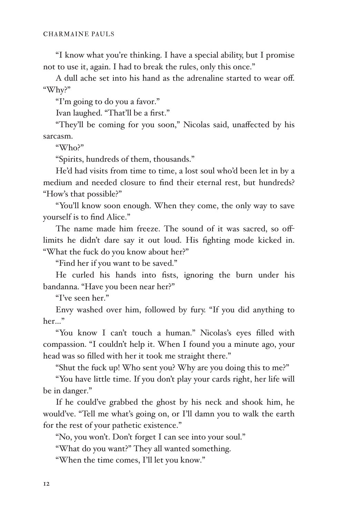"I know what you're thinking. I have a special ability, but I promise not to use it, again. I had to break the rules, only this once."

A dull ache set into his hand as the adrenaline started to wear off. "Why?"

"I'm going to do you a favor."

Ivan laughed. "That'll be a first."

"They'll be coming for you soon," Nicolas said, unaffected by his sarcasm.

"Who?"

"Spirits, hundreds of them, thousands."

He'd had visits from time to time, a lost soul who'd been let in by a medium and needed closure to find their eternal rest, but hundreds? "How's that possible?"

"You'll know soon enough. When they come, the only way to save yourself is to find Alice."

The name made him freeze. The sound of it was sacred, so offlimits he didn't dare say it out loud. His fighting mode kicked in. "What the fuck do you know about her?"

"Find her if you want to be saved."

He curled his hands into fists, ignoring the burn under his bandanna. "Have you been near her?"

"I've seen her."

Envy washed over him, followed by fury. "If you did anything to her…

"You know I can't touch a human." Nicolas's eyes filled with compassion. "I couldn't help it. When I found you a minute ago, your head was so filled with her it took me straight there."

"Shut the fuck up! Who sent you? Why are you doing this to me?"

"You have little time. If you don't play your cards right, her life will be in danger."

If he could've grabbed the ghost by his neck and shook him, he would've. "Tell me what's going on, or I'll damn you to walk the earth for the rest of your pathetic existence."

"No, you won't. Don't forget I can see into your soul."

"What do you want?" They all wanted something.

"When the time comes, I'll let you know."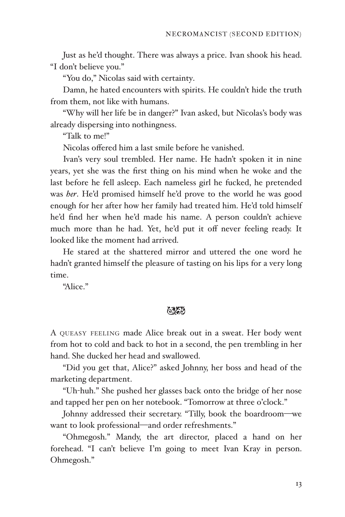Just as he'd thought. There was always a price. Ivan shook his head. "I don't believe you."

"You do," Nicolas said with certainty.

Damn, he hated encounters with spirits. He couldn't hide the truth from them, not like with humans.

"Why will her life be in danger?" Ivan asked, but Nicolas's body was already dispersing into nothingness.

"Talk to me!"

Nicolas offered him a last smile before he vanished.

Ivan's very soul trembled. Her name. He hadn't spoken it in nine years, yet she was the first thing on his mind when he woke and the last before he fell asleep. Each nameless girl he fucked, he pretended was *her*. He'd promised himself he'd prove to the world he was good enough for her after how her family had treated him. He'd told himself he'd find her when he'd made his name. A person couldn't achieve much more than he had. Yet, he'd put it off never feeling ready. It looked like the moment had arrived.

He stared at the shattered mirror and uttered the one word he hadn't granted himself the pleasure of tasting on his lips for a very long time.

"Alice"

## おね

A QUEASY FEELING made Alice break out in a sweat. Her body went from hot to cold and back to hot in a second, the pen trembling in her hand. She ducked her head and swallowed.

"Did you get that, Alice?" asked Johnny, her boss and head of the marketing department.

"Uh-huh." She pushed her glasses back onto the bridge of her nose and tapped her pen on her notebook. "Tomorrow at three o'clock."

Johnny addressed their secretary. "Tilly, book the boardroom-we want to look professional-and order refreshments."

"Ohmegosh." Mandy, the art director, placed a hand on her forehead. "I can't believe I'm going to meet Ivan Kray in person. Ohmegosh."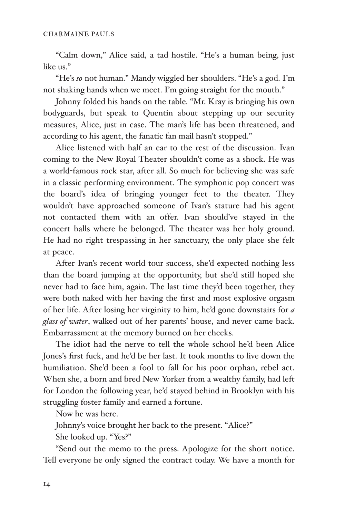"Calm down," Alice said, a tad hostile. "He's a human being, just like us."

"He's *so* not human." Mandy wiggled her shoulders. "He's a god. I'm not shaking hands when we meet. I'm going straight for the mouth."

Johnny folded his hands on the table. "Mr. Kray is bringing his own bodyguards, but speak to Quentin about stepping up our security measures, Alice, just in case. The man's life has been threatened, and according to his agent, the fanatic fan mail hasn't stopped."

Alice listened with half an ear to the rest of the discussion. Ivan coming to the New Royal Theater shouldn't come as a shock. He was a world-famous rock star, after all. So much for believing she was safe in a classic performing environment. The symphonic pop concert was the board's idea of bringing younger feet to the theater. They wouldn't have approached someone of Ivan's stature had his agent not contacted them with an offer. Ivan should've stayed in the concert halls where he belonged. The theater was her holy ground. He had no right trespassing in her sanctuary, the only place she felt at peace.

After Ivan's recent world tour success, she'd expected nothing less than the board jumping at the opportunity, but she'd still hoped she never had to face him, again. The last time they'd been together, they were both naked with her having the first and most explosive orgasm of her life. After losing her virginity to him, he'd gone downstairs for *a glass of water*, walked out of her parents' house, and never came back. Embarrassment at the memory burned on her cheeks.

The idiot had the nerve to tell the whole school he'd been Alice Jones's first fuck, and he'd be her last. It took months to live down the humiliation. She'd been a fool to fall for his poor orphan, rebel act. When she, a born and bred New Yorker from a wealthy family, had left for London the following year, he'd stayed behind in Brooklyn with his struggling foster family and earned a fortune.

Now he was here.

Johnny's voice brought her back to the present. "Alice?"

She looked up. "Yes?"

"Send out the memo to the press. Apologize for the short notice. Tell everyone he only signed the contract today. We have a month for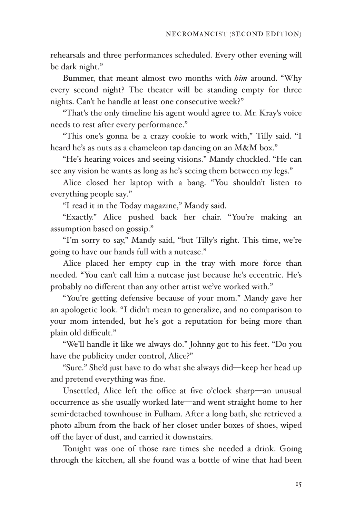rehearsals and three performances scheduled. Every other evening will be dark night."

Bummer, that meant almost two months with *him* around. "Why every second night? The theater will be standing empty for three nights. Can't he handle at least one consecutive week?"

"That's the only timeline his agent would agree to. Mr. Kray's voice needs to rest after every performance."

"This one's gonna be a crazy cookie to work with," Tilly said. "I heard he's as nuts as a chameleon tap dancing on an M&M box."

"He's hearing voices and seeing visions." Mandy chuckled. "He can see any vision he wants as long as he's seeing them between my legs."

Alice closed her laptop with a bang. "You shouldn't listen to everything people say."

"I read it in the Today magazine," Mandy said.

"Exactly." Alice pushed back her chair. "You're making an assumption based on gossip."

"I'm sorry to say," Mandy said, "but Tilly's right. This time, we're going to have our hands full with a nutcase."

Alice placed her empty cup in the tray with more force than needed. "You can't call him a nutcase just because he's eccentric. He's probably no different than any other artist we've worked with."

"You're getting defensive because of your mom." Mandy gave her an apologetic look. "I didn't mean to generalize, and no comparison to your mom intended, but he's got a reputation for being more than plain old difficult."

"We'll handle it like we always do." Johnny got to his feet. "Do you have the publicity under control, Alice?"

"Sure." She'd just have to do what she always did-keep her head up and pretend everything was fine.

Unsettled, Alice left the office at five o'clock sharp-an unusual occurrence as she usually worked late—and went straight home to her semi-detached townhouse in Fulham. After a long bath, she retrieved a photo album from the back of her closet under boxes of shoes, wiped off the layer of dust, and carried it downstairs.

Tonight was one of those rare times she needed a drink. Going through the kitchen, all she found was a bottle of wine that had been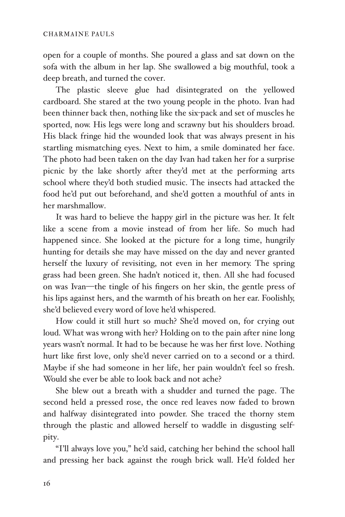open for a couple of months. She poured a glass and sat down on the sofa with the album in her lap. She swallowed a big mouthful, took a deep breath, and turned the cover.

The plastic sleeve glue had disintegrated on the yellowed cardboard. She stared at the two young people in the photo. Ivan had been thinner back then, nothing like the six-pack and set of muscles he sported, now. His legs were long and scrawny but his shoulders broad. His black fringe hid the wounded look that was always present in his startling mismatching eyes. Next to him, a smile dominated her face. The photo had been taken on the day Ivan had taken her for a surprise picnic by the lake shortly after they'd met at the performing arts school where they'd both studied music. The insects had attacked the food he'd put out beforehand, and she'd gotten a mouthful of ants in her marshmallow.

It was hard to believe the happy girl in the picture was her. It felt like a scene from a movie instead of from her life. So much had happened since. She looked at the picture for a long time, hungrily hunting for details she may have missed on the day and never granted herself the luxury of revisiting, not even in her memory. The spring grass had been green. She hadn't noticed it, then. All she had focused on was Ivan-the tingle of his fingers on her skin, the gentle press of his lips against hers, and the warmth of his breath on her ear. Foolishly, she'd believed every word of love he'd whispered.

How could it still hurt so much? She'd moved on, for crying out loud. What was wrong with her? Holding on to the pain after nine long years wasn't normal. It had to be because he was her first love. Nothing hurt like first love, only she'd never carried on to a second or a third. Maybe if she had someone in her life, her pain wouldn't feel so fresh. Would she ever be able to look back and not ache?

She blew out a breath with a shudder and turned the page. The second held a pressed rose, the once red leaves now faded to brown and halfway disintegrated into powder. She traced the thorny stem through the plastic and allowed herself to waddle in disgusting selfpity.

"I'll always love you," he'd said, catching her behind the school hall and pressing her back against the rough brick wall. He'd folded her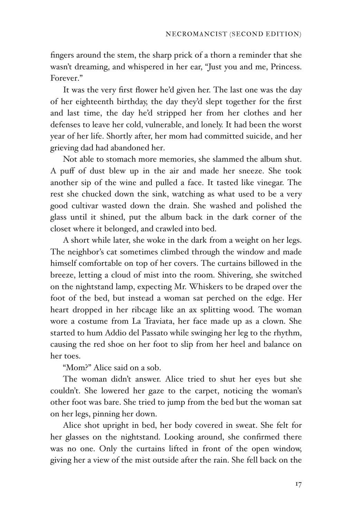fingers around the stem, the sharp prick of a thorn a reminder that she wasn't dreaming, and whispered in her ear, "Just you and me, Princess. Forever."

It was the very first flower he'd given her. The last one was the day of her eighteenth birthday, the day they'd slept together for the first and last time, the day he'd stripped her from her clothes and her defenses to leave her cold, vulnerable, and lonely. It had been the worst year of her life. Shortly after, her mom had committed suicide, and her grieving dad had abandoned her.

Not able to stomach more memories, she slammed the album shut. A puff of dust blew up in the air and made her sneeze. She took another sip of the wine and pulled a face. It tasted like vinegar. The rest she chucked down the sink, watching as what used to be a very good cultivar wasted down the drain. She washed and polished the glass until it shined, put the album back in the dark corner of the closet where it belonged, and crawled into bed.

A short while later, she woke in the dark from a weight on her legs. The neighbor's cat sometimes climbed through the window and made himself comfortable on top of her covers. The curtains billowed in the breeze, letting a cloud of mist into the room. Shivering, she switched on the nightstand lamp, expecting Mr. Whiskers to be draped over the foot of the bed, but instead a woman sat perched on the edge. Her heart dropped in her ribcage like an ax splitting wood. The woman wore a costume from La Traviata, her face made up as a clown. She started to hum Addio del Passato while swinging her leg to the rhythm, causing the red shoe on her foot to slip from her heel and balance on her toes.

"Mom?" Alice said on a sob.

The woman didn't answer. Alice tried to shut her eyes but she couldn't. She lowered her gaze to the carpet, noticing the woman's other foot was bare. She tried to jump from the bed but the woman sat on her legs, pinning her down.

Alice shot upright in bed, her body covered in sweat. She felt for her glasses on the nightstand. Looking around, she confirmed there was no one. Only the curtains lifted in front of the open window, giving her a view of the mist outside after the rain. She fell back on the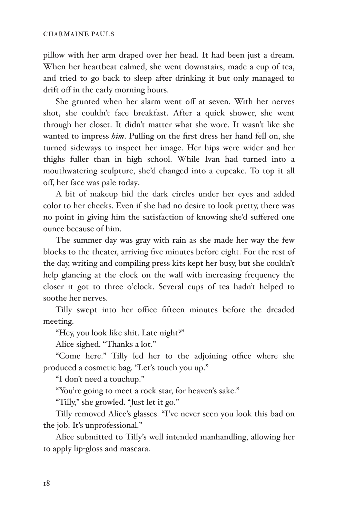pillow with her arm draped over her head. It had been just a dream. When her heartbeat calmed, she went downstairs, made a cup of tea, and tried to go back to sleep after drinking it but only managed to drift off in the early morning hours.

She grunted when her alarm went off at seven. With her nerves shot, she couldn't face breakfast. After a quick shower, she went through her closet. It didn't matter what she wore. It wasn't like she wanted to impress *him*. Pulling on the first dress her hand fell on, she turned sideways to inspect her image. Her hips were wider and her thighs fuller than in high school. While Ivan had turned into a mouthwatering sculpture, she'd changed into a cupcake. To top it all off, her face was pale today.

A bit of makeup hid the dark circles under her eyes and added color to her cheeks. Even if she had no desire to look pretty, there was no point in giving him the satisfaction of knowing she'd suffered one ounce because of him.

The summer day was gray with rain as she made her way the few blocks to the theater, arriving five minutes before eight. For the rest of the day, writing and compiling press kits kept her busy, but she couldn't help glancing at the clock on the wall with increasing frequency the closer it got to three o'clock. Several cups of tea hadn't helped to soothe her nerves.

Tilly swept into her office fifteen minutes before the dreaded meeting.

"Hey, you look like shit. Late night?"

Alice sighed. "Thanks a lot."

"Come here." Tilly led her to the adjoining office where she produced a cosmetic bag. "Let's touch you up."

"I don't need a touchup."

"You're going to meet a rock star, for heaven's sake."

"Tilly," she growled. "Just let it go."

Tilly removed Alice's glasses. "I've never seen you look this bad on the job. It's unprofessional."

Alice submitted to Tilly's well intended manhandling, allowing her to apply lip-gloss and mascara.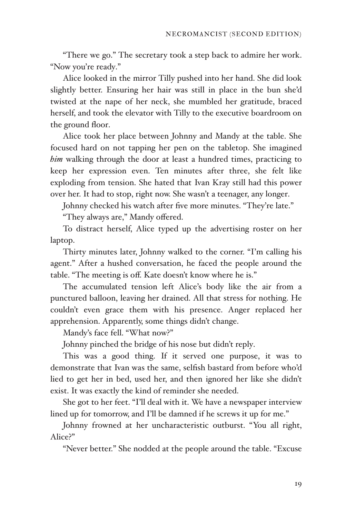"There we go." The secretary took a step back to admire her work. "Now you're ready."

Alice looked in the mirror Tilly pushed into her hand. She did look slightly better. Ensuring her hair was still in place in the bun she'd twisted at the nape of her neck, she mumbled her gratitude, braced herself, and took the elevator with Tilly to the executive boardroom on the ground floor.

Alice took her place between Johnny and Mandy at the table. She focused hard on not tapping her pen on the tabletop. She imagined *him* walking through the door at least a hundred times, practicing to keep her expression even. Ten minutes after three, she felt like exploding from tension. She hated that Ivan Kray still had this power over her. It had to stop, right now. She wasn't a teenager, any longer.

Johnny checked his watch after five more minutes. "They're late."

"They always are," Mandy offered.

To distract herself, Alice typed up the advertising roster on her laptop.

Thirty minutes later, Johnny walked to the corner. "I'm calling his agent." After a hushed conversation, he faced the people around the table. "The meeting is off. Kate doesn't know where he is."

The accumulated tension left Alice's body like the air from a punctured balloon, leaving her drained. All that stress for nothing. He couldn't even grace them with his presence. Anger replaced her apprehension. Apparently, some things didn't change.

Mandy's face fell. "What now?"

Johnny pinched the bridge of his nose but didn't reply.

This was a good thing. If it served one purpose, it was to demonstrate that Ivan was the same, selfish bastard from before who'd lied to get her in bed, used her, and then ignored her like she didn't exist. It was exactly the kind of reminder she needed.

She got to her feet. "I'll deal with it. We have a newspaper interview lined up for tomorrow, and I'll be damned if he screws it up for me."

Johnny frowned at her uncharacteristic outburst. "You all right, Alice?"

"Never better." She nodded at the people around the table. "Excuse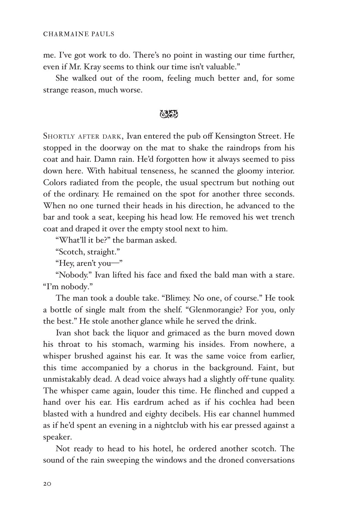me. I've got work to do. There's no point in wasting our time further, even if Mr. Kray seems to think our time isn't valuable."

She walked out of the room, feeling much better and, for some strange reason, much worse.

## 623

SHORTLY AFTER DARK, Ivan entered the pub off Kensington Street. He stopped in the doorway on the mat to shake the raindrops from his coat and hair. Damn rain. He'd forgotten how it always seemed to piss down here. With habitual tenseness, he scanned the gloomy interior. Colors radiated from the people, the usual spectrum but nothing out of the ordinary. He remained on the spot for another three seconds. When no one turned their heads in his direction, he advanced to the bar and took a seat, keeping his head low. He removed his wet trench coat and draped it over the empty stool next to him.

"What'll it be?" the barman asked.

"Scotch, straight."

"Hey, aren't you-"

"Nobody." Ivan lifted his face and fixed the bald man with a stare. "I'm nobody."

The man took a double take. "Blimey. No one, of course." He took a bottle of single malt from the shelf. "Glenmorangie? For you, only the best." He stole another glance while he served the drink.

Ivan shot back the liquor and grimaced as the burn moved down his throat to his stomach, warming his insides. From nowhere, a whisper brushed against his ear. It was the same voice from earlier, this time accompanied by a chorus in the background. Faint, but unmistakably dead. A dead voice always had a slightly off-tune quality. The whisper came again, louder this time. He flinched and cupped a hand over his ear. His eardrum ached as if his cochlea had been blasted with a hundred and eighty decibels. His ear channel hummed as if he'd spent an evening in a nightclub with his ear pressed against a speaker.

Not ready to head to his hotel, he ordered another scotch. The sound of the rain sweeping the windows and the droned conversations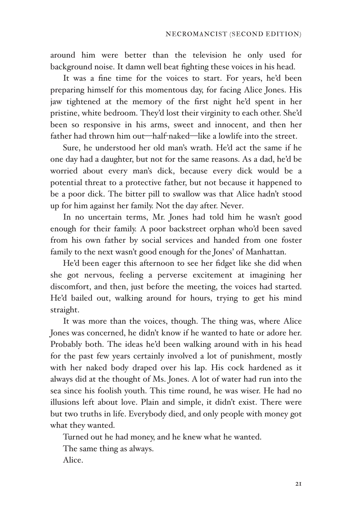around him were better than the television he only used for background noise. It damn well beat fighting these voices in his head.

It was a fine time for the voices to start. For years, he'd been preparing himself for this momentous day, for facing Alice Jones. His jaw tightened at the memory of the first night he'd spent in her pristine, white bedroom. They'd lost their virginity to each other. She'd been so responsive in his arms, sweet and innocent, and then her father had thrown him out—half-naked—like a lowlife into the street.

Sure, he understood her old man's wrath. He'd act the same if he one day had a daughter, but not for the same reasons. As a dad, he'd be worried about every man's dick, because every dick would be a potential threat to a protective father, but not because it happened to be a poor dick. The bitter pill to swallow was that Alice hadn't stood up for him against her family. Not the day after. Never.

In no uncertain terms, Mr. Jones had told him he wasn't good enough for their family. A poor backstreet orphan who'd been saved from his own father by social services and handed from one foster family to the next wasn't good enough for the Jones' of Manhattan.

He'd been eager this afternoon to see her fidget like she did when she got nervous, feeling a perverse excitement at imagining her discomfort, and then, just before the meeting, the voices had started. He'd bailed out, walking around for hours, trying to get his mind straight.

It was more than the voices, though. The thing was, where Alice Jones was concerned, he didn't know if he wanted to hate or adore her. Probably both. The ideas he'd been walking around with in his head for the past few years certainly involved a lot of punishment, mostly with her naked body draped over his lap. His cock hardened as it always did at the thought of Ms. Jones. A lot of water had run into the sea since his foolish youth. This time round, he was wiser. He had no illusions left about love. Plain and simple, it didn't exist. There were but two truths in life. Everybody died, and only people with money got what they wanted.

Turned out he had money, and he knew what he wanted.

The same thing as always.

Alice.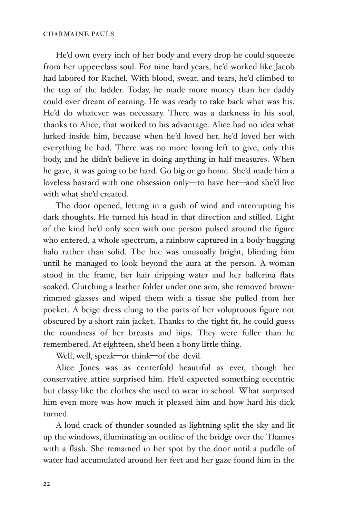He'd own every inch of her body and every drop he could squeeze from her upper-class soul. For nine hard years, he'd worked like Jacob had labored for Rachel. With blood, sweat, and tears, he'd climbed to the top of the ladder. Today, he made more money than her daddy could ever dream of earning. He was ready to take back what was his. He'd do whatever was necessary. There was a darkness in his soul, thanks to Alice, that worked to his advantage. Alice had no idea what lurked inside him, because when he'd loved her, he'd loved her with everything he had. There was no more loving left to give, only this body, and he didn't believe in doing anything in half measures. When he gave, it was going to be hard. Go big or go home. She'd made him a loveless bastard with one obsession only-to have her-and she'd live with what she'd created.

The door opened, letting in a gush of wind and interrupting his dark thoughts. He turned his head in that direction and stilled. Light of the kind he'd only seen with one person pulsed around the figure who entered, a whole spectrum, a rainbow captured in a body-hugging halo rather than solid. The hue was unusually bright, blinding him until he managed to look beyond the aura at the person. A woman stood in the frame, her hair dripping water and her ballerina flats soaked. Clutching a leather folder under one arm, she removed brownrimmed glasses and wiped them with a tissue she pulled from her pocket. A beige dress clung to the parts of her voluptuous figure not obscured by a short rain jacket. Thanks to the tight fit, he could guess the roundness of her breasts and hips. They were fuller than he remembered. At eighteen, she'd been a bony little thing.

Well, well, speak-or think-of the devil.

Alice Jones was as centerfold beautiful as ever, though her conservative attire surprised him. He'd expected something eccentric but classy like the clothes she used to wear in school. What surprised him even more was how much it pleased him and how hard his dick turned.

A loud crack of thunder sounded as lightning split the sky and lit up the windows, illuminating an outline of the bridge over the Thames with a flash. She remained in her spot by the door until a puddle of water had accumulated around her feet and her gaze found him in the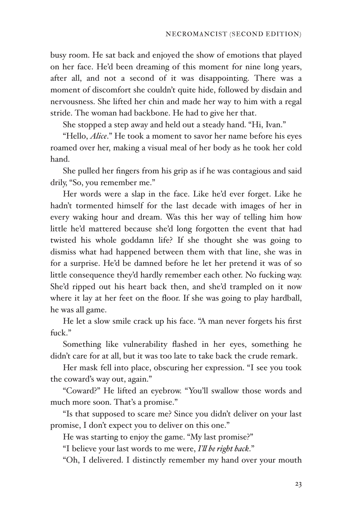busy room. He sat back and enjoyed the show of emotions that played on her face. He'd been dreaming of this moment for nine long years, after all, and not a second of it was disappointing. There was a moment of discomfort she couldn't quite hide, followed by disdain and nervousness. She lifted her chin and made her way to him with a regal stride. The woman had backbone. He had to give her that.

She stopped a step away and held out a steady hand. "Hi, Ivan."

"Hello, *Alice*." He took a moment to savor her name before his eyes roamed over her, making a visual meal of her body as he took her cold hand.

She pulled her fingers from his grip as if he was contagious and said drily, "So, you remember me."

Her words were a slap in the face. Like he'd ever forget. Like he hadn't tormented himself for the last decade with images of her in every waking hour and dream. Was this her way of telling him how little he'd mattered because she'd long forgotten the event that had twisted his whole goddamn life? If she thought she was going to dismiss what had happened between them with that line, she was in for a surprise. He'd be damned before he let her pretend it was of so little consequence they'd hardly remember each other. No fucking way. She'd ripped out his heart back then, and she'd trampled on it now where it lay at her feet on the floor. If she was going to play hardball, he was all game.

He let a slow smile crack up his face. "A man never forgets his first fuck."

Something like vulnerability flashed in her eyes, something he didn't care for at all, but it was too late to take back the crude remark.

Her mask fell into place, obscuring her expression. "I see you took the coward's way out, again."

"Coward?" He lifted an eyebrow. "You'll swallow those words and much more soon. That's a promise."

"Is that supposed to scare me? Since you didn't deliver on your last promise, I don't expect you to deliver on this one."

He was starting to enjoy the game. "My last promise?"

"I believe your last words to me were, *I'! be right back*."

"Oh, I delivered. I distinctly remember my hand over your mouth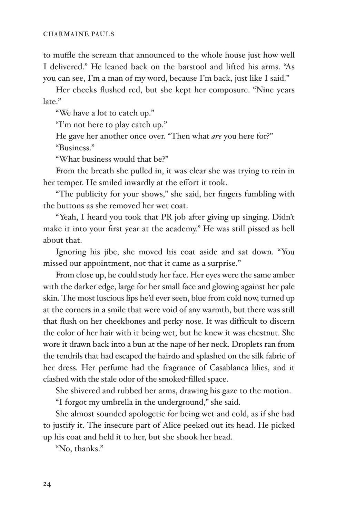to muffle the scream that announced to the whole house just how well I delivered." He leaned back on the barstool and lifted his arms. "As you can see, I'm a man of my word, because I'm back, just like I said."

Her cheeks flushed red, but she kept her composure. "Nine years late."

"We have a lot to catch up."

"I'm not here to play catch up."

He gave her another once over. "Then what *are* you here for?" "Business."

"What business would that be?"

From the breath she pulled in, it was clear she was trying to rein in her temper. He smiled inwardly at the effort it took.

"The publicity for your shows," she said, her fingers fumbling with the buttons as she removed her wet coat.

"Yeah, I heard you took that PR job after giving up singing. Didn't make it into your first year at the academy." He was still pissed as hell about that.

Ignoring his jibe, she moved his coat aside and sat down. "You missed our appointment, not that it came as a surprise."

From close up, he could study her face. Her eyes were the same amber with the darker edge, large for her small face and glowing against her pale skin. The most luscious lips he'd ever seen, blue from cold now, turned up at the corners in a smile that were void of any warmth, but there was still that flush on her cheekbones and perky nose. It was difficult to discern the color of her hair with it being wet, but he knew it was chestnut. She wore it drawn back into a bun at the nape of her neck. Droplets ran from the tendrils that had escaped the hairdo and splashed on the silk fabric of her dress. Her perfume had the fragrance of Casablanca lilies, and it clashed with the stale odor of the smoked-filled space.

She shivered and rubbed her arms, drawing his gaze to the motion.

"I forgot my umbrella in the underground," she said.

She almost sounded apologetic for being wet and cold, as if she had to justify it. The insecure part of Alice peeked out its head. He picked up his coat and held it to her, but she shook her head.

"No, thanks."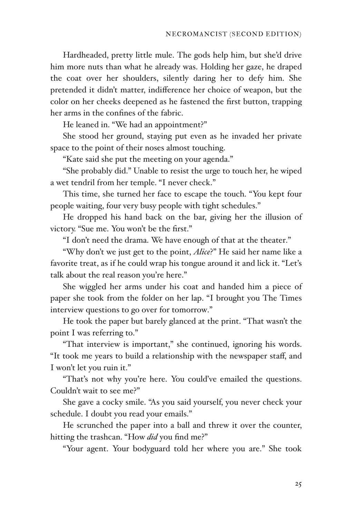Hardheaded, pretty little mule. The gods help him, but she'd drive him more nuts than what he already was. Holding her gaze, he draped the coat over her shoulders, silently daring her to defy him. She pretended it didn't matter, indifference her choice of weapon, but the color on her cheeks deepened as he fastened the first button, trapping her arms in the confines of the fabric.

He leaned in. "We had an appointment?"

She stood her ground, staying put even as he invaded her private space to the point of their noses almost touching.

"Kate said she put the meeting on your agenda."

"She probably did." Unable to resist the urge to touch her, he wiped a wet tendril from her temple. "I never check."

This time, she turned her face to escape the touch. "You kept four people waiting, four very busy people with tight schedules."

He dropped his hand back on the bar, giving her the illusion of victory. "Sue me. You won't be the first."

"I don't need the drama. We have enough of that at the theater."

"Why don't we just get to the point, *Alice*?" He said her name like a favorite treat, as if he could wrap his tongue around it and lick it. "Let's talk about the real reason you're here."

She wiggled her arms under his coat and handed him a piece of paper she took from the folder on her lap. "I brought you The Times interview questions to go over for tomorrow."

He took the paper but barely glanced at the print. "That wasn't the point I was referring to."

"That interview is important," she continued, ignoring his words. "It took me years to build a relationship with the newspaper staff, and I won't let you ruin it."

"That's not why you're here. You could've emailed the questions. Couldn't wait to see me?"

She gave a cocky smile. "As you said yourself, you never check your schedule. I doubt you read your emails."

He scrunched the paper into a ball and threw it over the counter, hitting the trashcan. "How *did* you find me?"

"Your agent. Your bodyguard told her where you are." She took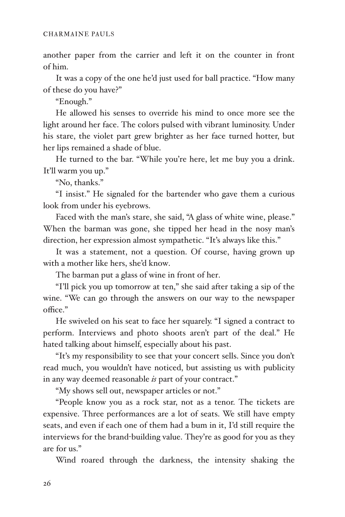another paper from the carrier and left it on the counter in front of him.

It was a copy of the one he'd just used for ball practice. "How many of these do you have?"

"Enough."

He allowed his senses to override his mind to once more see the light around her face. The colors pulsed with vibrant luminosity. Under his stare, the violet part grew brighter as her face turned hotter, but her lips remained a shade of blue.

He turned to the bar. "While you're here, let me buy you a drink. It'll warm you up."

"No, thanks."

"I insist." He signaled for the bartender who gave them a curious look from under his eyebrows.

Faced with the man's stare, she said, "A glass of white wine, please." When the barman was gone, she tipped her head in the nosy man's direction, her expression almost sympathetic. "It's always like this."

It was a statement, not a question. Of course, having grown up with a mother like hers, she'd know.

The barman put a glass of wine in front of her.

"I'll pick you up tomorrow at ten," she said after taking a sip of the wine. "We can go through the answers on our way to the newspaper office."

He swiveled on his seat to face her squarely. "I signed a contract to perform. Interviews and photo shoots aren't part of the deal." He hated talking about himself, especially about his past.

"It's my responsibility to see that your concert sells. Since you don't read much, you wouldn't have noticed, but assisting us with publicity in any way deemed reasonable *is* part of your contract."

"My shows sell out, newspaper articles or not."

"People know you as a rock star, not as a tenor. The tickets are expensive. Three performances are a lot of seats. We still have empty seats, and even if each one of them had a bum in it, I'd still require the interviews for the brand-building value. They're as good for you as they are for us."

Wind roared through the darkness, the intensity shaking the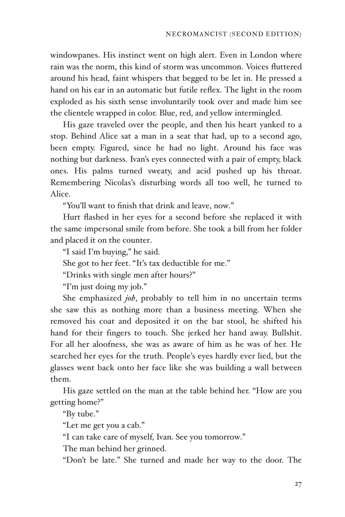windowpanes. His instinct went on high alert. Even in London where rain was the norm, this kind of storm was uncommon. Voices fluttered around his head, faint whispers that begged to be let in. He pressed a hand on his ear in an automatic but futile reflex. The light in the room exploded as his sixth sense involuntarily took over and made him see the clientele wrapped in color. Blue, red, and yellow intermingled.

His gaze traveled over the people, and then his heart yanked to a stop. Behind Alice sat a man in a seat that had, up to a second ago, been empty. Figured, since he had no light. Around his face was nothing but darkness. Ivan's eyes connected with a pair of empty, black ones. His palms turned sweaty, and acid pushed up his throat. Remembering Nicolas's disturbing words all too well, he turned to Alice.

"You'll want to finish that drink and leave, now."

Hurt flashed in her eyes for a second before she replaced it with the same impersonal smile from before. She took a bill from her folder and placed it on the counter.

"I said I'm buying," he said.

She got to her feet. "It's tax deductible for me."

"Drinks with single men after hours?"

"I'm just doing my job."

She emphasized *job*, probably to tell him in no uncertain terms she saw this as nothing more than a business meeting. When she removed his coat and deposited it on the bar stool, he shifted his hand for their fingers to touch. She jerked her hand away. Bullshit. For all her aloofness, she was as aware of him as he was of her. He searched her eyes for the truth. People's eyes hardly ever lied, but the glasses went back onto her face like she was building a wall between them.

His gaze settled on the man at the table behind her. "How are you getting home?"

"By tube."

"Let me get you a cab."

"I can take care of myself, Ivan. See you tomorrow."

The man behind her grinned.

"Don't be late." She turned and made her way to the door. The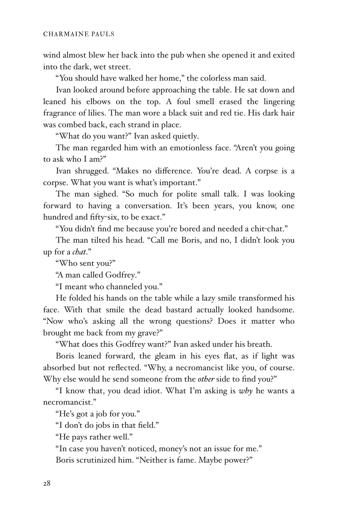wind almost blew her back into the pub when she opened it and exited into the dark, wet street.

"You should have walked her home," the colorless man said.

Ivan looked around before approaching the table. He sat down and leaned his elbows on the top. A foul smell erased the lingering fragrance of lilies. The man wore a black suit and red tie. His dark hair was combed back, each strand in place.

"What do you want?" Ivan asked quietly.

The man regarded him with an emotionless face. "Aren't you going to ask who I am?"

Ivan shrugged. "Makes no difference. You're dead. A corpse is a corpse. What you want is what's important."

The man sighed. "So much for polite small talk. I was looking forward to having a conversation. It's been years, you know, one hundred and fifty-six, to be exact."

"You didn't find me because you're bored and needed a chit-chat."

The man tilted his head. "Call me Boris, and no, I didn't look you up for a *chat*."

"Who sent you?"

"A man called Godfrey."

"I meant who channeled you."

He folded his hands on the table while a lazy smile transformed his face. With that smile the dead bastard actually looked handsome. "Now who's asking all the wrong questions? Does it matter who brought me back from my grave?"

"What does this Godfrey want?" Ivan asked under his breath.

Boris leaned forward, the gleam in his eyes flat, as if light was absorbed but not reflected. "Why, a necromancist like you, of course. Why else would he send someone from the *other* side to find you?"

"I know that, you dead idiot. What I'm asking is *why* he wants a necromancist."

"He's got a job for you."

"I don't do jobs in that field."

"He pays rather well."

"In case you haven't noticed, money's not an issue for me."

Boris scrutinized him. "Neither is fame. Maybe power?"